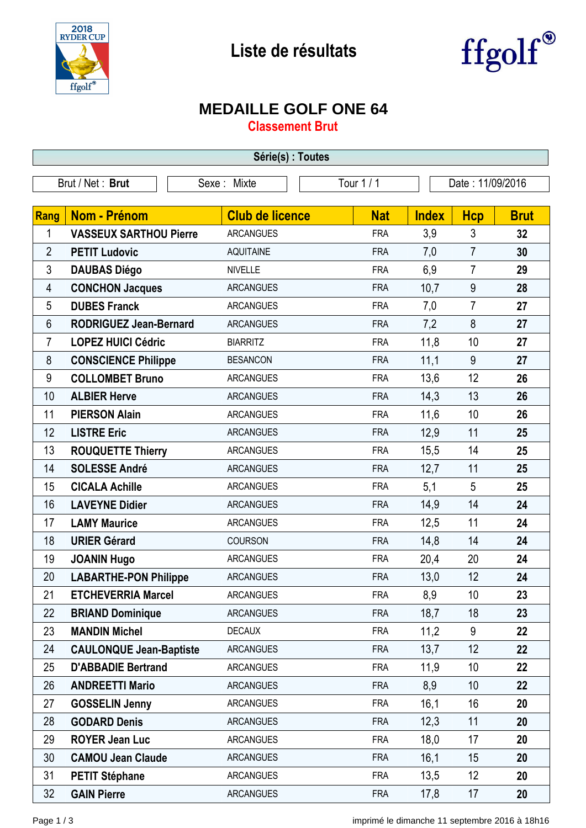



## **MEDAILLE GOLF ONE 64**

**Classement Brut**

| Série(s) : Toutes |                                |                        |            |                  |                |             |  |
|-------------------|--------------------------------|------------------------|------------|------------------|----------------|-------------|--|
|                   | Brut / Net: Brut               | Sexe: Mixte            | Tour 1 / 1 | Date: 11/09/2016 |                |             |  |
|                   |                                |                        |            |                  |                |             |  |
| Rang              | Nom - Prénom                   | <b>Club de licence</b> | <b>Nat</b> | <b>Index</b>     | <b>Hcp</b>     | <b>Brut</b> |  |
| 1                 | <b>VASSEUX SARTHOU Pierre</b>  | <b>ARCANGUES</b>       | <b>FRA</b> | 3,9              | 3              | 32          |  |
| $\overline{2}$    | <b>PETIT Ludovic</b>           | <b>AQUITAINE</b>       | <b>FRA</b> | 7,0              | $\overline{7}$ | 30          |  |
| 3                 | <b>DAUBAS Diégo</b>            | <b>NIVELLE</b>         | <b>FRA</b> | 6,9              | $\overline{7}$ | 29          |  |
| 4                 | <b>CONCHON Jacques</b>         | <b>ARCANGUES</b>       | <b>FRA</b> | 10,7             | 9              | 28          |  |
| 5                 | <b>DUBES Franck</b>            | <b>ARCANGUES</b>       | <b>FRA</b> | 7,0              | $\overline{7}$ | 27          |  |
| 6                 | <b>RODRIGUEZ Jean-Bernard</b>  | <b>ARCANGUES</b>       | <b>FRA</b> | 7,2              | 8              | 27          |  |
| $\overline{7}$    | <b>LOPEZ HUICI Cédric</b>      | <b>BIARRITZ</b>        | <b>FRA</b> | 11,8             | 10             | 27          |  |
| 8                 | <b>CONSCIENCE Philippe</b>     | <b>BESANCON</b>        | <b>FRA</b> | 11,1             | 9              | 27          |  |
| 9                 | <b>COLLOMBET Bruno</b>         | <b>ARCANGUES</b>       | <b>FRA</b> | 13,6             | 12             | 26          |  |
| 10                | <b>ALBIER Herve</b>            | <b>ARCANGUES</b>       | <b>FRA</b> | 14,3             | 13             | 26          |  |
| 11                | <b>PIERSON Alain</b>           | <b>ARCANGUES</b>       | <b>FRA</b> | 11,6             | 10             | 26          |  |
| 12                | <b>LISTRE Eric</b>             | <b>ARCANGUES</b>       | <b>FRA</b> | 12,9             | 11             | 25          |  |
| 13                | <b>ROUQUETTE Thierry</b>       | <b>ARCANGUES</b>       | <b>FRA</b> | 15,5             | 14             | 25          |  |
| 14                | <b>SOLESSE André</b>           | <b>ARCANGUES</b>       | <b>FRA</b> | 12,7             | 11             | 25          |  |
| 15                | <b>CICALA Achille</b>          | <b>ARCANGUES</b>       | <b>FRA</b> | 5,1              | 5              | 25          |  |
| 16                | <b>LAVEYNE Didier</b>          | <b>ARCANGUES</b>       | <b>FRA</b> | 14,9             | 14             | 24          |  |
| 17                | <b>LAMY Maurice</b>            | <b>ARCANGUES</b>       | <b>FRA</b> | 12,5             | 11             | 24          |  |
| 18                | <b>URIER Gérard</b>            | COURSON                | <b>FRA</b> | 14,8             | 14             | 24          |  |
| 19                | <b>JOANIN Hugo</b>             | <b>ARCANGUES</b>       | <b>FRA</b> | 20,4             | 20             | 24          |  |
| 20                | <b>LABARTHE-PON Philippe</b>   | <b>ARCANGUES</b>       | <b>FRA</b> | 13,0             | 12             | 24          |  |
| 21                | <b>ETCHEVERRIA Marcel</b>      | <b>ARCANGUES</b>       | <b>FRA</b> | 8,9              | 10             | 23          |  |
| 22                | <b>BRIAND Dominique</b>        | <b>ARCANGUES</b>       | <b>FRA</b> | 18,7             | 18             | 23          |  |
| 23                | <b>MANDIN Michel</b>           | <b>DECAUX</b>          | <b>FRA</b> | 11,2             | 9              | 22          |  |
| 24                | <b>CAULONQUE Jean-Baptiste</b> | <b>ARCANGUES</b>       | <b>FRA</b> | 13,7             | 12             | 22          |  |
| 25                | <b>D'ABBADIE Bertrand</b>      | <b>ARCANGUES</b>       | <b>FRA</b> | 11,9             | 10             | 22          |  |
| 26                | <b>ANDREETTI Mario</b>         | <b>ARCANGUES</b>       | <b>FRA</b> | 8,9              | 10             | 22          |  |
| 27                | <b>GOSSELIN Jenny</b>          | <b>ARCANGUES</b>       | <b>FRA</b> | 16,1             | 16             | 20          |  |
| 28                | <b>GODARD Denis</b>            | <b>ARCANGUES</b>       | <b>FRA</b> | 12,3             | 11             | 20          |  |
| 29                | <b>ROYER Jean Luc</b>          | <b>ARCANGUES</b>       | <b>FRA</b> | 18,0             | 17             | 20          |  |
| 30                | <b>CAMOU Jean Claude</b>       | <b>ARCANGUES</b>       | <b>FRA</b> | 16,1             | 15             | 20          |  |
| 31                | <b>PETIT Stéphane</b>          | <b>ARCANGUES</b>       | <b>FRA</b> | 13,5             | 12             | 20          |  |
| 32                | <b>GAIN Pierre</b>             | <b>ARCANGUES</b>       | <b>FRA</b> | 17,8             | 17             | 20          |  |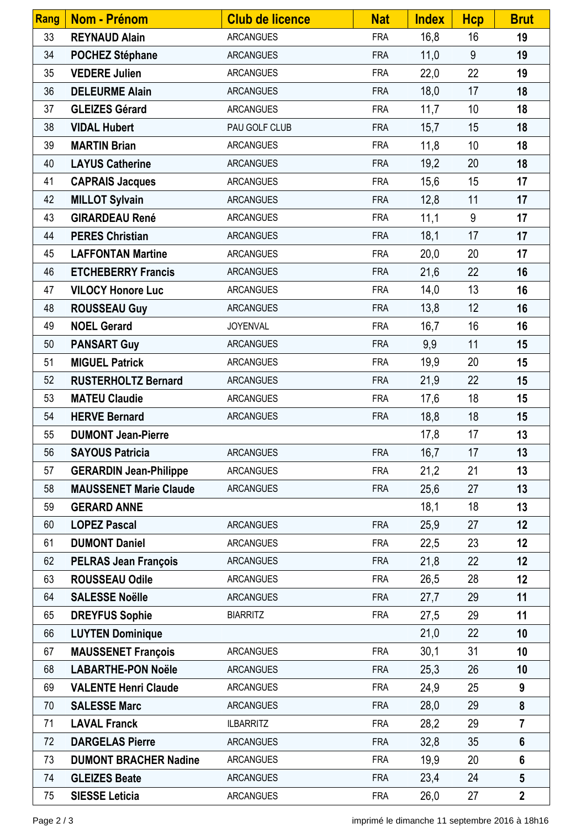| <b>Rang</b> | <b>Nom - Prénom</b>           | <b>Club de licence</b> | <b>Nat</b> | <b>Index</b> | <b>Hcp</b> | <b>Brut</b>     |
|-------------|-------------------------------|------------------------|------------|--------------|------------|-----------------|
| 33          | <b>REYNAUD Alain</b>          | <b>ARCANGUES</b>       | <b>FRA</b> | 16,8         | 16         | 19              |
| 34          | <b>POCHEZ Stéphane</b>        | <b>ARCANGUES</b>       | <b>FRA</b> | 11,0         | 9          | 19              |
| 35          | <b>VEDERE Julien</b>          | <b>ARCANGUES</b>       | <b>FRA</b> | 22,0         | 22         | 19              |
| 36          | <b>DELEURME Alain</b>         | <b>ARCANGUES</b>       | <b>FRA</b> | 18,0         | 17         | 18              |
| 37          | <b>GLEIZES Gérard</b>         | <b>ARCANGUES</b>       | <b>FRA</b> | 11,7         | 10         | 18              |
| 38          | <b>VIDAL Hubert</b>           | PAU GOLF CLUB          | <b>FRA</b> | 15,7         | 15         | 18              |
| 39          | <b>MARTIN Brian</b>           | <b>ARCANGUES</b>       | <b>FRA</b> | 11,8         | 10         | 18              |
| 40          | <b>LAYUS Catherine</b>        | <b>ARCANGUES</b>       | <b>FRA</b> | 19,2         | 20         | 18              |
| 41          | <b>CAPRAIS Jacques</b>        | <b>ARCANGUES</b>       | <b>FRA</b> | 15,6         | 15         | 17              |
| 42          | <b>MILLOT Sylvain</b>         | <b>ARCANGUES</b>       | <b>FRA</b> | 12,8         | 11         | 17              |
| 43          | <b>GIRARDEAU René</b>         | <b>ARCANGUES</b>       | <b>FRA</b> | 11,1         | 9          | 17              |
| 44          | <b>PERES Christian</b>        | <b>ARCANGUES</b>       | <b>FRA</b> | 18,1         | 17         | 17              |
| 45          | <b>LAFFONTAN Martine</b>      | <b>ARCANGUES</b>       | <b>FRA</b> | 20,0         | 20         | 17              |
| 46          | <b>ETCHEBERRY Francis</b>     | <b>ARCANGUES</b>       | <b>FRA</b> | 21,6         | 22         | 16              |
| 47          | <b>VILOCY Honore Luc</b>      | <b>ARCANGUES</b>       | <b>FRA</b> | 14,0         | 13         | 16              |
| 48          | <b>ROUSSEAU Guy</b>           | <b>ARCANGUES</b>       | <b>FRA</b> | 13,8         | 12         | 16              |
| 49          | <b>NOEL Gerard</b>            | <b>JOYENVAL</b>        | <b>FRA</b> | 16,7         | 16         | 16              |
| 50          | <b>PANSART Guy</b>            | <b>ARCANGUES</b>       | <b>FRA</b> | 9,9          | 11         | 15              |
| 51          | <b>MIGUEL Patrick</b>         | <b>ARCANGUES</b>       | <b>FRA</b> | 19,9         | 20         | 15              |
| 52          | <b>RUSTERHOLTZ Bernard</b>    | <b>ARCANGUES</b>       | <b>FRA</b> | 21,9         | 22         | 15              |
| 53          | <b>MATEU Claudie</b>          | <b>ARCANGUES</b>       | <b>FRA</b> | 17,6         | 18         | 15              |
| 54          | <b>HERVE Bernard</b>          | <b>ARCANGUES</b>       | <b>FRA</b> | 18,8         | 18         | 15              |
| 55          | <b>DUMONT Jean-Pierre</b>     |                        |            | 17,8         | 17         | 13              |
| 56          | <b>SAYOUS Patricia</b>        | ARCANGUES              | FRA        | 16,7         | 17         | 13              |
| 57          | <b>GERARDIN Jean-Philippe</b> | <b>ARCANGUES</b>       | <b>FRA</b> | 21,2         | 21         | 13              |
| 58          | <b>MAUSSENET Marie Claude</b> | <b>ARCANGUES</b>       | <b>FRA</b> | 25,6         | 27         | 13              |
| 59          | <b>GERARD ANNE</b>            |                        |            | 18,1         | 18         | 13              |
| 60          | <b>LOPEZ Pascal</b>           | <b>ARCANGUES</b>       | <b>FRA</b> | 25,9         | 27         | 12              |
| 61          | <b>DUMONT Daniel</b>          | <b>ARCANGUES</b>       | <b>FRA</b> | 22,5         | 23         | 12              |
| 62          | <b>PELRAS Jean François</b>   | <b>ARCANGUES</b>       | <b>FRA</b> | 21,8         | 22         | 12              |
| 63          | <b>ROUSSEAU Odile</b>         | <b>ARCANGUES</b>       | <b>FRA</b> | 26,5         | 28         | 12              |
| 64          | <b>SALESSE Noëlle</b>         | <b>ARCANGUES</b>       | <b>FRA</b> | 27,7         | 29         | 11              |
| 65          | <b>DREYFUS Sophie</b>         | <b>BIARRITZ</b>        | <b>FRA</b> | 27,5         | 29         | 11              |
| 66          | <b>LUYTEN Dominique</b>       |                        |            | 21,0         | 22         | 10              |
| 67          | <b>MAUSSENET François</b>     | <b>ARCANGUES</b>       | <b>FRA</b> | 30,1         | 31         | 10              |
| 68          | <b>LABARTHE-PON Noële</b>     | <b>ARCANGUES</b>       | <b>FRA</b> | 25,3         | 26         | 10              |
| 69          | <b>VALENTE Henri Claude</b>   | <b>ARCANGUES</b>       | <b>FRA</b> | 24,9         | 25         | 9               |
| 70          | <b>SALESSE Marc</b>           | <b>ARCANGUES</b>       | <b>FRA</b> | 28,0         | 29         | 8               |
| 71          | <b>LAVAL Franck</b>           | <b>ILBARRITZ</b>       | <b>FRA</b> | 28,2         | 29         | $\overline{7}$  |
| 72          | <b>DARGELAS Pierre</b>        | <b>ARCANGUES</b>       | <b>FRA</b> | 32,8         | 35         | $6\phantom{1}$  |
| 73          | <b>DUMONT BRACHER Nadine</b>  | <b>ARCANGUES</b>       | <b>FRA</b> | 19,9         | 20         | $6\phantom{1}$  |
| 74          | <b>GLEIZES Beate</b>          | <b>ARCANGUES</b>       | <b>FRA</b> | 23,4         | 24         | $5\phantom{.0}$ |
| 75          | <b>SIESSE Leticia</b>         | <b>ARCANGUES</b>       | <b>FRA</b> | 26,0         | 27         | $\mathbf{2}$    |